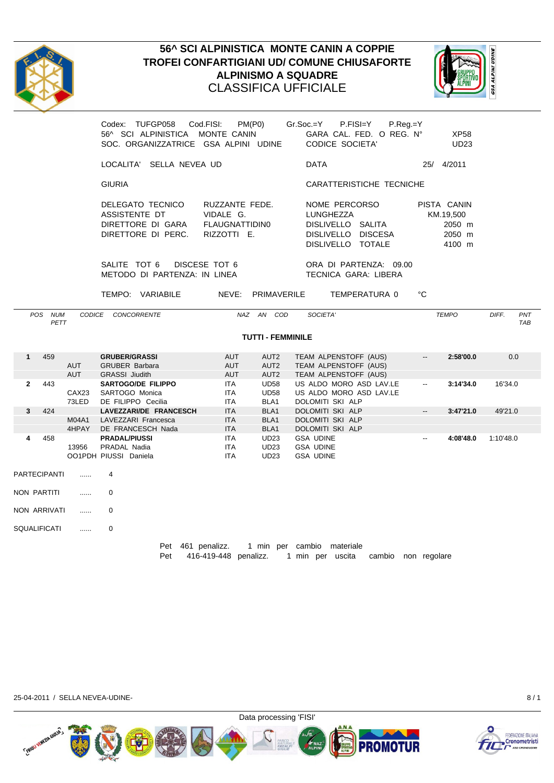

## **56^ SCI ALPINISTICA MONTE CANIN A COPPIE TROFEI CONFARTIGIANI UD/ COMUNE CHIUSAFORTE ALPINISMO A SQUADRE ALPINISMO A SQUADRE** CLASSIFICA UFFICIALE **And the CLASSIFICA**



|                 | Codex: TUFGP058 Cod.FISI: PM(P0)<br>56^ SCI ALPINISTICA MONTE CANIN<br>SOC. ORGANIZZATRICE GSA ALPINI UDINE |                                  | Gr.Soc.=Y P.FISI=Y P.Reg.=Y<br>GARA CAL. FED. O REG. Nº<br>CODICE SOCIETA' | <b>XP58</b><br><b>UD23</b> |     |
|-----------------|-------------------------------------------------------------------------------------------------------------|----------------------------------|----------------------------------------------------------------------------|----------------------------|-----|
|                 | LOCALITA' SELLA NEVEA UD                                                                                    |                                  | <b>DATA</b>                                                                | 25/ 4/2011                 |     |
|                 | <b>GIURIA</b>                                                                                               |                                  | CARATTERISTICHE TECNICHE                                                   |                            |     |
|                 | DELEGATO TECNICO                                                                                            | RUZZANTE FEDE.                   | NOME PERCORSO                                                              | PISTA CANIN                |     |
|                 | ASSISTENTE DT                                                                                               | VIDALE G.                        | LUNGHEZZA                                                                  | KM.19,500                  |     |
|                 | DIRETTORE DI GARA FLAUGNATTIDINO                                                                            |                                  | DISLIVELLO SALITA                                                          | 2050 m                     |     |
|                 | DIRETTORE DI PERC. RIZZOTTI E.                                                                              |                                  | DISLIVELLO DISCESA                                                         | 2050 m                     |     |
|                 |                                                                                                             |                                  | DISLIVELLO TOTALE                                                          | 4100 m                     |     |
|                 | SALITE TOT 6 DISCESE TOT 6                                                                                  |                                  | ORA DI PARTENZA: 09.00                                                     |                            |     |
|                 | METODO DI PARTENZA: IN LINEA                                                                                |                                  | TECNICA GARA: LIBERA                                                       |                            |     |
|                 |                                                                                                             |                                  |                                                                            |                            |     |
|                 | TEMPO: VARIABILE                                                                                            | NEVE: PRIMAVERILE                | TEMPERATURA 0 °C                                                           |                            |     |
|                 |                                                                                                             |                                  |                                                                            |                            |     |
| PETT            | POS NUM CODICE CONCORRENTE                                                                                  | NAZ AN COD SOCIETA'              |                                                                            | <b>TEMPO</b>               |     |
|                 |                                                                                                             | <b>TUTTI - FEMMINILE</b>         |                                                                            |                            |     |
|                 |                                                                                                             |                                  |                                                                            |                            |     |
| 1 459           | <b>GRUBER/GRASSI</b>                                                                                        | AUT<br>AUT2                      | TEAM ALPENSTOFF (AUS)                                                      | $-2:58'00.0$               | 0.0 |
|                 | AUT GRUBER Barbara                                                                                          | AUT                              | AUT2 TEAM ALPENSTOFF (AUS)                                                 |                            |     |
| AUT             | <b>GRASSI Jiudith</b>                                                                                       | AUT                              | AUT2 TEAM ALPENSTOFF (AUS)                                                 |                            |     |
| 2 443           | SARTOGO/DE FILIPPO<br>CAX23 SARTOGO Monica                                                                  | <b>ITA</b><br>ITA                | UD58 US ALDO MORO ASD LAV.LE<br>UD58 US ALDO MORO ASD LAV.LE               | $-3:14'34.0$ 16'34.0       |     |
|                 | 73LED DE FILIPPO Cecilia                                                                                    | <b>ITA</b><br>BLA1               | DOLOMITI SKI ALP                                                           |                            |     |
| $3 \t 424$      | LAVEZZARI/DE FRANCESCH                                                                                      | <b>ITA</b><br>BLA1               | DOLOMITI SKI ALP                                                           | $-3.47'21.0$ $49'21.0$     |     |
|                 | M04A1 LAVEZZARI Francesca                                                                                   | BLA1<br><b>ITA</b>               | DOLOMITI SKI ALP                                                           |                            |     |
|                 | 4HPAY DE FRANCESCH Nada                                                                                     | <b>ITA</b><br>BLA1               | DOLOMITI SKI ALP                                                           |                            |     |
| 4 458           | <b>PRADAL/PIUSSI</b><br>13956 PRADAL Nadia                                                                  | <b>UD23</b><br><b>ITA</b><br>ITA | <b>GSA UDINE</b><br>UD23 GSA UDINE                                         | $-4:08'48.0$ 1:10'48.0     |     |
|                 | OO1PDH PIUSSI Daniela                                                                                       | <b>ITA</b>                       | UD23 GSA UDINE                                                             |                            |     |
|                 |                                                                                                             |                                  |                                                                            |                            |     |
| PARTECIPANTI  4 |                                                                                                             |                                  |                                                                            |                            |     |
| NON PARTITI  0  |                                                                                                             |                                  |                                                                            |                            |     |
|                 |                                                                                                             |                                  |                                                                            |                            |     |
| NON ARRIVATI  0 |                                                                                                             |                                  |                                                                            |                            |     |
|                 |                                                                                                             |                                  |                                                                            |                            |     |
| SQUALIFICATI  0 |                                                                                                             |                                  |                                                                            |                            |     |

Pet 461 penalizz. 1 min per cambio materiale Pet 416-419-448 penalizz. 1 min per uscita cambio non regolare

25-04-2011 / SELLA NEVEA-UDINE- 8 / 1



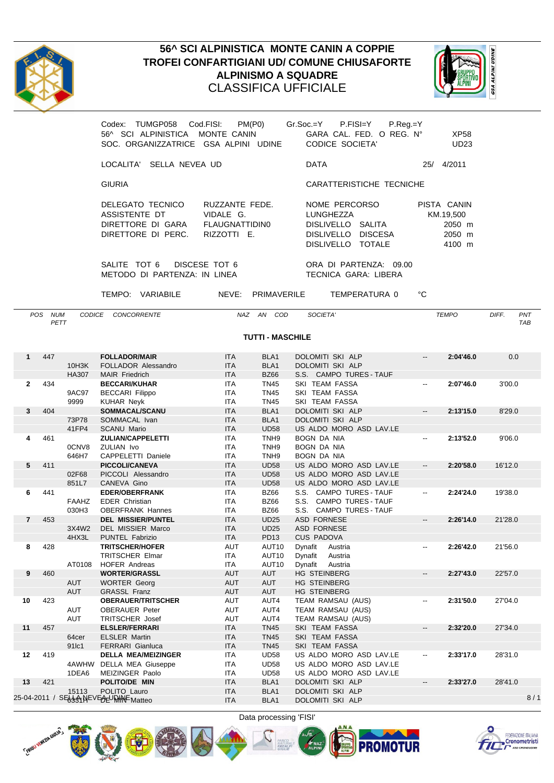

## **56^ SCI ALPINISTICA MONTE CANIN A COPPIE<br>OFEI CONFARTIGIANI UD/ COMUNE CHIUSAFORTE<br>ALPINISMO A SQUADRE<br>CLASSIFICA UFFICIALE TROFEI CONFARTIGIANI UD/ COMUNE CHIUSAFORTE ALPINISMO A SQUADRE ALPINISMO A SQUADRE** CLASSIFICA UFFICIALE **And the CLASSIFICA**



| Codex: TUMGP058 Cod.FISI: PM(P0)           | P.FISI=Y P.Reg.=Y<br>Gr.Soc.=Y |              |           |
|--------------------------------------------|--------------------------------|--------------|-----------|
| 56^ SCI ALPINISTICA MONTE CANIN            | GARA CAL. FED. O REG. Nº       | <b>XP58</b>  |           |
| SOC. ORGANIZZATRICE GSA ALPINI UDINE       | <b>CODICE SOCIETA'</b>         | <b>UD23</b>  |           |
| LOCALITA' SELLA NEVEA UD                   | <b>DATA</b>                    | 25/ 4/2011   |           |
| <b>GIURIA</b>                              | CARATTERISTICHE TECNICHE       |              |           |
| RUZZANTE FEDE.<br>DELEGATO TECNICO         | NOME PERCORSO                  | PISTA CANIN  |           |
| ASSISTENTE DT<br>VIDALE G.                 | LUNGHEZZA                      | KM.19,500    |           |
| DIRETTORE DI GARA<br><b>FLAUGNATTIDINO</b> | DISLIVELLO SALITA              | 2050 m       |           |
| DIRETTORE DI PERC. RIZZOTTI E.             | DISLIVELLO DISCESA             | 2050 m       |           |
|                                            | DISLIVELLO TOTALE              | 4100 m       |           |
| SALITE TOT 6 DISCESE TOT 6                 | ORA DI PARTENZA: 09.00         |              |           |
| METODO DI PARTENZA: IN LINEA               | TECNICA GARA: LIBERA           |              |           |
| TEMPO: VARIABILE<br>NEVE: PRIMAVERILE      | TEMPERATURA 0 °C               |              |           |
| POS NUM CODICE CONCORRENTE<br>NAZ AN COD   | SOCIETA'                       | <b>TEMPO</b> | DIFF. PNT |

PETT TABLES TO A SERVICE THE SERVICE OF THE SERVICE OF THE SERVICE OF THE SERVICE OF THE SERVICE OF THE SERVICE OF THE SERVICE OF THE SERVICE OF THE SERVICE OF THE SERVICE OF THE SERVICE OF THE SERVICE OF THE SERVICE OF TH

**TUTTI - MASCHILE**

| 1 447      |       | <b>FOLLADOR/MAIR</b>                 | ITA        | BLA1             | DOLOMITI SKI ALP        | $-$            | 2:04'46.0 | 0.0                  |
|------------|-------|--------------------------------------|------------|------------------|-------------------------|----------------|-----------|----------------------|
|            |       | 10H3K FOLLADOR Alessandro            | <b>ITA</b> | BLA <sub>1</sub> | DOLOMITI SKI ALP        |                |           |                      |
|            |       | HA307 MAIR Friedrich                 | <b>ITA</b> | BZ66             | S.S. CAMPO TURES - TAUF |                |           |                      |
| 2 434      |       | <b>BECCARI/KUHAR</b>                 | ITA        | <b>TN45</b>      | SKI TEAM FASSA          | <b>Service</b> |           | 2:07'46.0 3'00.0     |
|            | 9AC97 | <b>BECCARI Filippo</b>               | ITA        | <b>TN45</b>      | SKI TEAM FASSA          |                |           |                      |
|            | 9999  | KUHAR Neyk                           | ITA        | <b>TN45</b>      | SKI TEAM FASSA          |                |           |                      |
| $3 \t 404$ |       | SOMMACAL/SCANU                       | <b>ITA</b> | BLA1             | DOLOMITI SKI ALP        | $-2:13'15.0$   |           | 8'29.0               |
|            |       | 73P78 SOMMACAL Ivan                  | <b>ITA</b> | BLA1             | DOLOMITI SKI ALP        |                |           |                      |
|            |       | 41FP4 SCANU Mario                    | ITA        | <b>UD58</b>      | US ALDO MORO ASD LAV.LE |                |           |                      |
| 4 461      |       | ZULIAN/CAPPELETTI                    | ITA        | TNH <sub>9</sub> | BOGN DA NIA             |                |           | $-2:13'52.0$ 9'06.0  |
|            |       | 0CNV8 ZULIAN Ivo                     | ITA        | TNH9             | BOGN DA NIA             |                |           |                      |
|            |       |                                      | ITA        |                  |                         |                |           |                      |
|            | 646H7 | CAPPELETTI Daniele                   |            | TNH9             | <b>BOGN DA NIA</b>      |                |           |                      |
| 5 411      |       | <b>PICCOLI/CANEVA</b>                | <b>ITA</b> | <b>UD58</b>      | US ALDO MORO ASD LAV.LE |                |           | 2:20'58.0 16'12.0    |
|            |       | 02F68 PICCOLI Alessandro             | <b>ITA</b> | <b>UD58</b>      | US ALDO MORO ASD LAV.LE |                |           |                      |
|            | 851L7 | CANEVA Gino                          | <b>ITA</b> | <b>UD58</b>      | US ALDO MORO ASD LAV.LE |                |           |                      |
| 6 441      |       | <b>EDER/OBERFRANK</b>                | ITA        | BZ66             | S.S. CAMPO TURES - TAUF |                |           | 2:24'24.0 19'38.0    |
|            |       | FAAHZ EDER Christian                 | ITA        | <b>BZ66</b>      | S.S. CAMPO TURES - TAUF |                |           |                      |
|            | 030H3 | <b>OBERFRANK Hannes</b>              | <b>ITA</b> | <b>BZ66</b>      | S.S. CAMPO TURES - TAUF |                |           |                      |
| 7 453      |       | <b>DEL MISSIER/PUNTEL</b>            | <b>ITA</b> | <b>UD25</b>      | <b>ASD FORNESE</b>      |                |           | $-2:26'14.0$ 21'28.0 |
|            |       | 3X4W2 DEL MISSIER Marco              | <b>ITA</b> | <b>UD25</b>      | ASD FORNESE             |                |           |                      |
|            |       | 4HX3L PUNTEL Fabrizio                | <b>ITA</b> | <b>PD13</b>      | <b>CUS PADOVA</b>       |                |           |                      |
| 8 428      |       | <b>TRITSCHER/HOFER</b>               | AUT        | AUT10            | Dynafit Austria         | $\sim$ $\sim$  |           | 2:26'42.0 21'56.0    |
|            |       | <b>TRITSCHER Elmar</b>               | ITA        | AUT10            | Dynafit Austria         |                |           |                      |
|            |       | AT0108 HOFER Andreas                 | <b>ITA</b> | AUT10            | Dynafit Austria         |                |           |                      |
| 9 460      |       | <b>WORTER/GRASSL</b>                 | AUT        | AUT              | HG STEINBERG            |                |           | $-2:27'43.0$ 22'57.0 |
|            | AUT   | <b>WORTER Georg</b>                  | AUT        | AUT              | HG STEINBERG            |                |           |                      |
|            | AUT   | <b>GRASSL Franz</b>                  | AUT        | AUT              | HG STEINBERG            |                |           |                      |
| 10 423     |       | <b>OBERAUER/TRITSCHER</b>            | AUT        | AUT4             | TEAM RAMSAU (AUS)       |                |           | 2:31'50.0 27'04.0    |
|            | AUT   | <b>OBERAUER Peter</b>                | AUT        | AUT4             | TEAM RAMSAU (AUS)       |                |           |                      |
|            | AUT   | <b>TRITSCHER Josef</b>               | AUT        | AUT4             | TEAM RAMSAU (AUS)       |                |           |                      |
| 11 457     |       | <b>ELSLER/FERRARI</b>                | <b>ITA</b> | <b>TN45</b>      | SKI TEAM FASSA          |                |           | $-2:32'20.0$ 27'34.0 |
|            | 64cer | <b>ELSLER Martin</b>                 | <b>ITA</b> | <b>TN45</b>      | SKI TEAM FASSA          |                |           |                      |
|            | 91lc1 | <b>FERRARI Gianluca</b>              | <b>ITA</b> | <b>TN45</b>      | SKI TEAM FASSA          |                |           |                      |
| 12 419     |       | <b>DELLA MEA/MEIZINGER</b>           | ITA        | <b>UD58</b>      | US ALDO MORO ASD LAV.LE |                |           | 2:33'17.0 28'31.0    |
|            |       | 4AWHW DELLA MEA Giuseppe             | <b>ITA</b> | <b>UD58</b>      | US ALDO MORO ASD LAV.LE |                |           |                      |
|            |       | 1DEA6 MEIZINGER Paolo                | ITA        | <b>UD58</b>      | US ALDO MORO ASD LAV.LE |                |           |                      |
| 13 421     |       | POLITO/DE MIN                        | <b>ITA</b> | BLA1             | DOLOMITI SKI ALP        |                |           | $-2:33'27.0$ 28'41.0 |
|            |       | 15113 POLITO Lauro                   | ITA        | BLA1             | DOLOMITI SKI ALP        |                |           |                      |
|            |       | 25-04-2011 / SEASANEVEALUMINE Matteo | <b>ITA</b> | BLA1             | DOLOMITI SKI ALP        |                |           | 8/1                  |
|            |       |                                      |            |                  |                         |                |           |                      |

Data processing 'FISI'



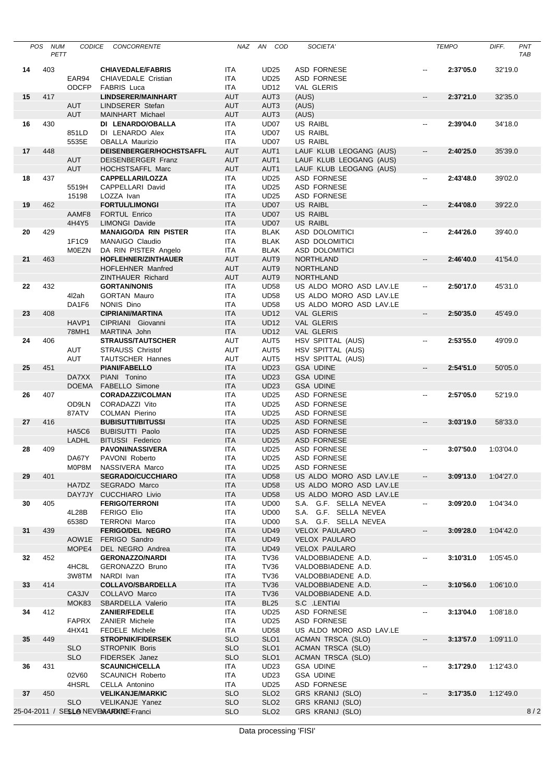| POS NUM<br>PETT |       | CODICE CONCORRENTE                              |                   | NAZ AN COD                      | SOCIETA'                                       | TEMPO          |                          | DIFF. PNT<br>TAB |
|-----------------|-------|-------------------------------------------------|-------------------|---------------------------------|------------------------------------------------|----------------|--------------------------|------------------|
|                 |       |                                                 |                   |                                 |                                                |                |                          |                  |
| 14 403          |       | <b>CHIAVEDALE/FABRIS</b>                        | ITA               | <b>UD25</b>                     | ASD FORNESE                                    |                | $-2:37'05.0$ 32'19.0     |                  |
|                 |       | EAR94 CHIAVEDALE Cristian<br>ODCFP FABRIS Luca  | ITA               | <b>UD25</b>                     | ASD FORNESE                                    |                |                          |                  |
| 15 417          |       | <b>LINDSERER/MAINHART</b>                       | ITA<br>AUT        | <b>UD12</b><br>AUT3             | VAL GLERIS<br>(AUS                             |                | $-2:37'21.0$ $32'35.0$   |                  |
|                 | AUT   | LINDSERER Stefan                                | AUT               | AUT3                            | (AUS)                                          |                |                          |                  |
|                 | AUT   | <b>MAINHART Michael</b>                         | AUT               | AUT3                            | (AUS)                                          |                |                          |                  |
| 16 430          |       | DI LENARDO/OBALLA                               | ITA               | UD07                            | US RAIBI                                       |                | $-2:39'04.0$ $34'18.0$   |                  |
|                 |       | 851LD DI LENARDO Alex                           | ITA               | UD07                            | US RAIBL                                       |                |                          |                  |
|                 | 5535E | OBALLA Maurizio                                 | ITA               | UD07                            | US RAIBL                                       |                |                          |                  |
| 17 448          |       | DEISENBERGER/HOCHSTSAFFI                        | AUT               | AUT1                            | LAUF KLUB LEOGANG (AUS)                        | $\sim$         | 2:40'25.0 35'39.0        |                  |
|                 | AUT   | DEISENBERGER Franz                              | AUT               | AUT1                            | LAUF KLUB LEOGANG (AUS)                        |                |                          |                  |
|                 | AUT   | <b>HOCHSTSAFFL Marc</b>                         | AUT               | AUT1                            | LAUF KLUB LEOGANG (AUS)                        |                |                          |                  |
| 18 437          |       | CAPPELLARI/LOZZA                                | ITA               | <b>UD25</b>                     | ASD FORNESE                                    |                | $-2:43'48.0$ 39'02.0     |                  |
|                 |       | 5519H CAPPELLARI David                          | ITA               | <b>UD25</b>                     | <b>ASD FORNESE</b>                             |                |                          |                  |
| 19 462          | 15198 | LOZZA Ivan<br><b>FORTUL/LIMONG</b>              | ITA<br>ITA        | <b>UD25</b>                     | ASD FORNESE<br><b>US RAIBL</b>                 |                | $-2:44'08.0$ 39'22.0     |                  |
|                 |       | AAMF8 FORTUL Enrico                             | ITA               | UD07<br>UD07                    | <b>US RAIBL</b>                                |                |                          |                  |
|                 |       | 4H4Y5 LIMONGI Davide                            | ITA               | UD07                            | US RAIBL                                       |                |                          |                  |
| 20 429          |       | <b>MANAIGO/DA RIN PISTER</b>                    | ITA               | BLAK                            | ASD DOLOMITICI                                 |                | $-2:44'26.0$ 39'40.0     |                  |
|                 |       | 1F1C9 MANAIGO Claudio                           | ITA               | BLAK                            | ASD DOLOMITICI                                 |                |                          |                  |
|                 |       | MOEZN DA RIN PISTER Angelo                      | ITA               | BLAK                            | ASD DOLOMITICI                                 |                |                          |                  |
| 21 463          |       | HOFLEHNER/ZINTHAUER                             | AUT               | AUT9                            | NORTHLAND                                      |                | $-2:46'40.0$ $41'54.0$   |                  |
|                 |       | HOFLEHNER Manfred                               | AUT               | AUT9                            | NORTHLAND                                      |                |                          |                  |
|                 |       | ZINTHAUER Richard                               | AUT               | AUT9                            | NORTHLAND                                      |                |                          |                  |
| 22 432          |       | <b>GORTAN/NONIS</b>                             | ITA               | UD58                            | US ALDO MORO ASD LAV.LE                        | $- -$          | 2:50'17.0 45'31.0        |                  |
|                 | 4l2ah | <b>GORTAN Mauro</b>                             | ITA               | <b>UD58</b>                     | US ALDO MORO ASD LAV.LE                        |                |                          |                  |
| 23 408          |       | DA1F6 NONIS Dino<br><b>CIPRIANI/MARTINA</b>     | ITA<br>ITA        | <b>UD58</b>                     | US ALDO MORO ASD LAV.LE                        |                | $-2:50'35.0$ 45'49.0     |                  |
|                 |       | HAVP1 CIPRIANI Giovanni                         | ITA               | <b>UD12</b><br><b>UD12</b>      | VAL GLERIS<br>VAL GLERIS                       |                |                          |                  |
|                 |       | 78MH1 MARTINA John                              | ITA I             | <b>UD12</b>                     | VAL GLERIS                                     |                |                          |                  |
| 24 406          |       | <b>STRAUSS/TAUTSCHER</b>                        | AUT               | AUT5                            | HSV SPITTAL (AUS)                              | $\sim$         | <b>2:53'55.0</b> 49'09.0 |                  |
|                 | AUT   | <b>STRAUSS Christof</b>                         | AUT               | AUT5                            | HSV SPITTAL (AUS)                              |                |                          |                  |
|                 | AUT   | <b>TAUTSCHER Hannes</b>                         | AUT               | AUT5                            | HSV SPITTAL (AUS)                              |                |                          |                  |
| 25 451          |       | <b>PIANI/FABELLO</b>                            | ITA               | <b>UD23</b>                     | <b>GSA UDINE</b>                               |                | $-2:54'51.0$ 50'05.0     |                  |
|                 |       | DA7XX PIANI Tonino                              | ITA               | <b>UD23</b>                     | <b>GSA UDINE</b>                               |                |                          |                  |
|                 |       | DOEMA FABELLO Simone                            | ITA               | <b>UD23</b>                     | <b>GSA UDINE</b>                               |                |                          |                  |
| 26 407          |       | CORADAZZI/COLMAN                                | ITA               | <b>UD25</b>                     | ASD FORNESE                                    |                | $-2:57'05.0$ $52'19.0$   |                  |
|                 |       | OD9LN CORADAZZI Vito<br>87ATV COLMAN Pierino    | ITA<br>ITA        | <b>UD25</b><br><b>UD25</b>      | <b>ASD FORNESE</b><br>ASD FORNESE              |                |                          |                  |
| 27 416          |       | <b>BUBISUTTI/BITUSSI</b>                        | ITA               | <b>UD25</b>                     | ASD FORNESE                                    |                | $-3:03'19.0$ 58'33.0     |                  |
|                 |       | HA5C6 BUBISUTTI Paolo                           | ITA               | <b>UD25</b>                     | ASD FORNESE                                    |                |                          |                  |
|                 |       | LADHL BITUSSI Federico                          | ITA               | <b>UD25</b>                     | ASD FORNESE                                    |                |                          |                  |
| 28 409          |       | PAVONI/NASSIVERA                                | ITA               | <b>UD25</b>                     | ASD FORNESE                                    |                | $-3:07'50.0$ 1:03'04.0   |                  |
|                 |       | DA67Y PAVONI Roberto                            | <b>ITA</b>        | <b>UD25</b>                     | ASD FORNESE                                    |                |                          |                  |
|                 |       | M0P8M NASSIVERA Marco                           | ITA               | <b>UD25</b>                     | ASD FORNESE                                    |                |                          |                  |
| 29 401          |       | <b>SEGRADO/CUCCHIARO</b>                        | ITA               | <b>UD58</b>                     | US ALDO MORO ASD LAV.LE                        | <b>Service</b> | 3:09'13.0 1:04'27.0      |                  |
|                 |       | HA7DZ SEGRADO Marco                             | ITA               | <b>UD58</b>                     | US ALDO MORO ASD LAV.LE                        |                |                          |                  |
|                 |       | DAY7JY CUCCHIARO Livio                          | <b>ITA</b>        | <b>UD58</b>                     | US ALDO MORO ASD LAV.LE                        |                |                          |                  |
| 30 405          |       | <b>FERIGO/TERRONI</b><br>4L28B FERIGO Elio      | ITA<br>ITA        | UD00<br><b>UD00</b>             | S.A. G.F. SELLA NEVEA<br>S.A. G.F. SELLA NEVEA | $\sim$         | 3:09'20.0 1:04'34.0      |                  |
|                 |       | 6538D TERRONI Marco                             | ITA               | UD00                            | S.A. G.F. SELLA NEVEA                          |                |                          |                  |
| 31 439          |       | FERIGO/DEL NEGRO                                | ITA               | <b>UD49</b>                     | <b>VELOX PAULARO</b>                           |                | $-3:09'28.0$ 1:04'42.0   |                  |
|                 |       | AOW1E FERIGO Sandro                             | <b>ITA</b>        | <b>UD49</b>                     | VELOX PAULARO                                  |                |                          |                  |
|                 |       | MOPE4 DEL NEGRO Andrea                          | <b>ITA</b>        | <b>UD49</b>                     | VELOX PAULARO                                  |                |                          |                  |
| 32 452          |       | <b>GERONAZZO/NARDI</b>                          | ITA               | <b>TV36</b>                     | VALDOBBIADENE A.D.                             |                | $-3:10'31.0$ $1:05'45.0$ |                  |
|                 |       | 4HC8L GERONAZZO Bruno                           | ITA               | <b>TV36</b>                     | VALDOBBIADENE A.D.                             |                |                          |                  |
|                 |       | 3W8TM NARDI Ivan                                | ITA               | <b>TV36</b>                     | VALDOBBIADENE A.D.                             |                |                          |                  |
| 33 414          |       | <b>COLLAVO/SBARDELLA</b>                        | ITA 1             | <b>TV36</b>                     | VALDOBBIADENE A.D.                             |                | $-3:10'56.0$ 1:06'10.0   |                  |
|                 |       | CA3JV COLLAVO Marco<br>MOK83 SBARDELLA Valerio  | <b>ITA</b><br>ITA | <b>TV36</b><br>BL <sub>25</sub> | VALDOBBIADENE A.D.<br>S.C .LENTIAI             |                |                          |                  |
| 34 412          |       | <b>ZANIER/FEDELE</b>                            | <b>ITA</b>        | <b>UD25</b>                     | ASD FORNESE                                    |                | $-3:13'04.0$ 1:08'18.0   |                  |
|                 |       | FAPRX ZANIER Michele                            | <b>ITA</b>        | <b>UD25</b>                     | ASD FORNESE                                    |                |                          |                  |
|                 |       | 4HX41 FEDELE Michele                            | ITA               | <b>UD58</b>                     | US ALDO MORO ASD LAV.LE                        |                |                          |                  |
| 35 449          |       | <b>STROPNIK/FIDERSEK</b>                        | SLO               | SLO1                            | ACMAN TRSCA (SLO)                              |                | $-3:13'57.0$ 1:09'11.0   |                  |
|                 | SLO   | <b>STROPNIK Boris</b>                           | SLO               | SLO1                            | ACMAN TRSCA (SLO)                              |                |                          |                  |
|                 | SLO   | FIDERSEK Janez                                  | SLO SLO1          |                                 | ACMAN TRSCA (SLO)                              |                |                          |                  |
| 36 431          |       | <b>SCAUNICH/CELLA</b>                           | ITA               | <b>UD23</b>                     | <b>GSA UDINE</b>                               |                | $-3:17'29.0$ 1:12'43.0   |                  |
|                 |       | 02V60 SCAUNICH Roberto                          | ITA               | <b>UD23</b>                     | GSA UDINE                                      |                |                          |                  |
| 37 450          |       | 4HSRL CELLA Antonino<br><b>VELIKANJE/MARKIC</b> | ITA<br>SLO        | <b>UD25</b><br>SLO <sub>2</sub> | ASD FORNESE<br>GRS KRANIJ (SLO)                |                | $-3:17'35.0$ 1:12'49.0   |                  |
|                 |       | SLO VELIKANJE Yanez                             | SLO               | SLO <sub>2</sub>                | GRS KRANIJ (SLO)                               |                |                          |                  |
|                 |       | 25-04-2011 / SESLO NEVEMARINNE Franci           |                   |                                 | SLO SLO2 GRS KRANIJ (SLO)                      |                |                          | 8/2              |
|                 |       |                                                 |                   |                                 |                                                |                |                          |                  |

Data processing 'FISI'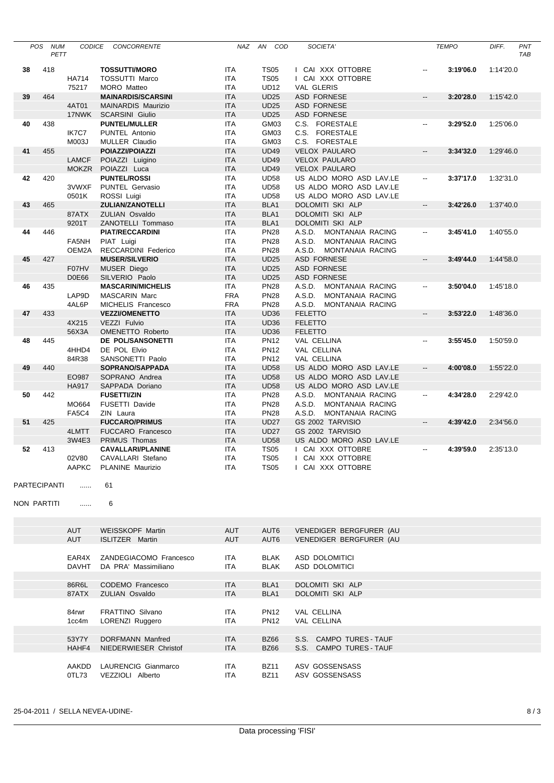|        | POS NUM CODICE CONCORRENTE<br>PETT                            |                   |                            | NAZ AN COD SOCIETA'                                                  | TEMPO | DIFF. PNT<br>TAB           |
|--------|---------------------------------------------------------------|-------------------|----------------------------|----------------------------------------------------------------------|-------|----------------------------|
| 38 418 | <b>TOSSUTTI/MORO</b>                                          | ITA               | <b>TS05</b>                | I CAI XXX OTTOBRE                                                    |       | $-3:19'06.0$ 1:14'20.0     |
|        | <b>HA714</b><br><b>TOSSUTTI Marco</b><br>75217<br>MORO Matteo | ITA<br>ITA        | <b>TS05</b><br><b>UD12</b> | I CAI XXX OTTOBRE<br>VAL GLERIS                                      |       |                            |
| 39 464 | <b>MAINARDIS/SCARSINI</b><br>4AT01 MAINARDIS Maurizio         | ITA<br><b>ITA</b> | <b>UD25</b><br><b>UD25</b> | ASD FORNESE<br>ASD FORNESE                                           |       | $-3:20'28.0$ 1:15'42.0     |
|        | 17NWK SCARSINI Giulio                                         | <b>ITA</b>        | <b>UD25</b>                | ASD FORNESE                                                          |       |                            |
| 40 438 | <b>PUNTEL/MULLER</b><br>IK7C7<br>PUNTEL Antonio               | ITA<br>ITA        | GM03<br>GM03               | C.S. FORESTALE<br>C.S. FORESTALE                                     |       | $-3:29'52.0$ 1:25'06.0     |
|        | M003J MULLER Claudio                                          | ITA               | GM03                       | C.S. FORESTALE                                                       |       |                            |
| 41 455 | POIAZZI/POIAZZI                                               | ITA               | <b>UD49</b>                | VELOX PAULARO                                                        |       | $-3:34'32.0$ 1:29'46.0     |
|        | LAMCF POIAZZI Luigino<br>MOKZR POIAZZI Luca                   | ITA<br>ITA        | <b>UD49</b><br><b>UD49</b> | VELOX PAULARO<br><b>VELOX PAULARO</b>                                |       |                            |
| 42 420 | <b>PUNTEL/ROSSI</b>                                           | ITA               | UD58                       | US ALDO MORO ASD LAV.LE                                              |       | <b>3:37'17.0</b> 1:32'31.0 |
|        | 3VWXF PUNTEL Gervasio<br>0501K<br>ROSSI Luigi                 | ITA<br>ITA        | <b>UD58</b><br><b>UD58</b> | US ALDO MORO ASD LAV.LE<br>US ALDO MORO ASD LAV.LE                   |       |                            |
| 43 465 | ZULIAN/ZANOTELLI                                              | ITA               | BLA1                       | DOLOMITI SKI ALP                                                     |       | $-3:42'26.0$ 1:37'40.0     |
|        | 87ATX ZULIAN Osvaldo<br>9201T ZANOTELLI Tommaso               | ITA<br>ITA        | BLA1<br>BLA1               | DOLOMITI SKI ALP<br>DOLOMITI SKI ALP                                 |       |                            |
| 44 446 | <b>PIAT/RECCARDINI</b>                                        | ITA               | <b>PN28</b>                | A.S.D. MONTANAIA RACING                                              | $- -$ | 3:45'41.0 1:40'55.0        |
|        | FA5NH PIAT Luigi                                              | ITA               | <b>PN28</b>                | A.S.D. MONTANAIA RACING                                              |       |                            |
| 45 427 | OEM2A RECCARDINI Federico<br><b>MUSER/SILVERIO</b>            | ITA<br>ITA        | <b>PN28</b><br><b>UD25</b> | A.S.D. MONTANAIA RACING<br>ASD FORNESE                               |       | $-3.49'44.0$ $1:44'58.0$   |
|        | F07HV MUSER Diego                                             | ITA               | <b>UD25</b>                | ASD FORNESE                                                          |       |                            |
| 46 435 | D0E66 SILVERIO Paolo<br><b>MASCARIN/MICHELIS</b>              | ITA<br>ITA        | <b>UD25</b><br><b>PN28</b> | ASD FORNESE<br>A.S.D. MONTANAIA RACING                               |       | 3:50'04.0 1:45'18.0        |
|        | LAP9D MASCARIN Marc                                           | FRA               | <b>PN28</b>                | A.S.D. MONTANAIA RACING                                              |       |                            |
| 47 433 | 4AL6P<br>MICHELIS Francesco<br><b>VEZZI/OMENETTO</b>          | FRA<br><b>ITA</b> | <b>PN28</b><br>UD36        | A.S.D. MONTANAIA RACING<br><b>FELETTO</b>                            |       | $-3:53'22.0$ 1:48'36.0     |
|        | 4X215 VEZZI Fulvio                                            | <b>ITA</b>        | UD36                       | <b>FELETTO</b>                                                       |       |                            |
|        | 56X3A OMENETTO Roberto                                        | <b>ITA</b>        | UD36                       | <b>FELETTO</b>                                                       |       |                            |
| 48 445 | DE POL/SANSONETTI<br>4HHD4 DE POL Elvio                       | ITA<br>ITA        | <b>PN12</b><br><b>PN12</b> | <b>VAL CELLINA</b><br>VAL CELLINA                                    |       | $-3:55'45.0$ 1:50'59.0     |
|        | 84R38<br>SANSONETTI Paolo                                     | ITA               |                            | PN12 VAL CELLINA                                                     |       |                            |
| 49 440 | SOPRANO/SAPPADA<br>EO987 SOPRANO Andrea                       | ITA<br>ITA        | <b>UD58</b><br><b>UD58</b> | US ALDO MORO ASD LAV.LE<br>US ALDO MORO ASD LAV.LE                   |       | 4:00'08.0 1:55'22.0        |
|        | <b>HA917</b><br>SAPPADA Doriano                               | <b>ITA</b>        | <b>UD58</b>                | US ALDO MORO ASD LAV.LE                                              |       |                            |
| 50 442 | <b>FUSETTI/ZIN</b>                                            | ITA               | PN28                       | A.S.D. MONTANAIA RACING                                              |       | 4:34'28.0 2:29'42.0        |
|        | MO664 FUSETTI Davide<br>FA5C4 ZIN Laura                       | ITA<br>ITA        | <b>PN28</b><br><b>PN28</b> | A.S.D. MONTANAIA RACING<br>A.S.D. MONTANAIA RACING                   |       |                            |
| 51 425 | <b>FUCCARO/PRIMUS</b>                                         | ITA               | <b>UD27</b>                | GS 2002 TARVISIO                                                     |       | $-4:39'42.0$ 2:34'56.0     |
|        | 4LMTT FUCCARO Francesco<br>3W4E3 PRIMUS Thomas                | <b>ITA</b><br>ITA | <b>UD27</b><br><b>UD58</b> | GS 2002 TARVISIO<br>US ALDO MORO ASD LAV.LE                          |       |                            |
| 52 413 | <b>CAVALLARI/PLANINE</b>                                      | ITA               | <b>TS05</b>                | I CAI XXX OTTOBRE                                                    |       | $-4:39'59.0$ 2:35'13.0     |
|        | 02V80 CAVALLARI Stefano<br>AAPKC PLANINE Maurizio             |                   |                            | ITA TS05 I CAI XXX OTTOBRE<br>ITA TS05 I CAI XXX OTTOBRE             |       |                            |
|        |                                                               |                   |                            |                                                                      |       |                            |
|        | PARTECIPANTI  61                                              |                   |                            |                                                                      |       |                            |
|        | NON PARTITI  6                                                |                   |                            |                                                                      |       |                            |
|        |                                                               |                   |                            |                                                                      |       |                            |
|        | AUT WEISSKOPF Martin                                          |                   |                            | AUT AUT6 VENEDIGER BERGFURER (AU                                     |       |                            |
|        | AUT ISLITZER Martin                                           |                   |                            | AUT AUT6 VENEDIGER BERGFURER (AU                                     |       |                            |
|        | EAR4X ZANDEGIACOMO Francesco                                  | <b>ITA</b>        |                            | BLAK ASD DOLOMITICI                                                  |       |                            |
|        | DAVHT DA PRA' Massimiliano                                    |                   |                            | ITA BLAK ASD DOLOMITICI                                              |       |                            |
|        | 86R6L CODEMO Francesco                                        |                   |                            | ITA BLA1 DOLOMITI SKI ALP                                            |       |                            |
|        | 87ATX ZULIAN Osvaldo                                          |                   |                            | ITA BLA1 DOLOMITI SKI ALP                                            |       |                            |
|        | 84rwr FRATTINO Silvano                                        |                   |                            | ITA PN12 VAL CELLINA                                                 |       |                            |
|        | 1cc4m LORENZI Ruggero                                         |                   |                            | ITA PN12 VAL CELLINA                                                 |       |                            |
|        |                                                               |                   |                            |                                                                      |       |                            |
|        | 53Y7Y DORFMANN Manfred<br>HAHF4 NIEDERWIESER Christof         |                   |                            | ITA BZ66 S.S. CAMPO TURES - TAUF<br>ITA BZ66 S.S. CAMPO TURES - TAUF |       |                            |
|        |                                                               |                   |                            |                                                                      |       |                            |
|        | AAKDD LAURENCIG Gianmarco<br>0TL73 VEZZIOLI Alberto           |                   |                            | ITA BZ11 ASV GOSSENSASS<br>ITA BZ11 ASV GOSSENSASS                   |       |                            |
|        |                                                               |                   |                            |                                                                      |       |                            |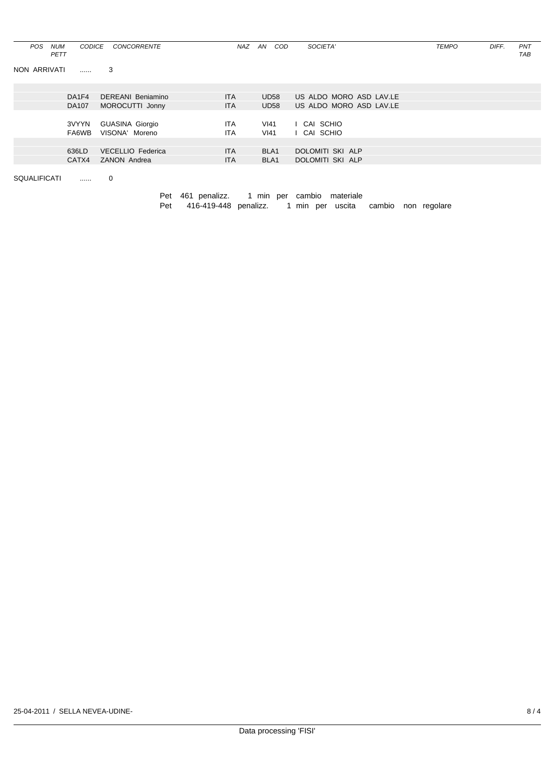| POS NUM CODICE CONCORRENTE<br>PETT | NAZ AN COD SOCIETA'              | DIFF. PNT<br><b>TEMPO</b><br>TAB |
|------------------------------------|----------------------------------|----------------------------------|
| NON ARRIVATI  3                    |                                  |                                  |
|                                    |                                  |                                  |
| DA1F4 DEREANI Beniamino            | ITA UD58 US ALDO MORO ASD LAV.LE |                                  |
| DA107 MOROCUTTI Jonny              | ITA UD58 US ALDO MORO ASD LAV.LE |                                  |
|                                    |                                  |                                  |
| 3VYYN GUASINA Giorgio              | ITA VI41 I CAI SCHIO             |                                  |
| FA6WB VISONA' Moreno               | ITA VI41 I CAI SCHIO             |                                  |
|                                    |                                  |                                  |
| 636LD VECELLIO Federica            | ITA BLA1 DOLOMITI SKI ALP        |                                  |
| CATX4 ZANON Andrea                 | ITA BLA1 DOLOMITI SKI ALP        |                                  |
|                                    |                                  |                                  |
| SQUALIFICATI  0                    |                                  |                                  |
|                                    |                                  |                                  |

| Pet 461 penalizz. 1 min per cambio materiale                 |  |  |
|--------------------------------------------------------------|--|--|
| t 416-419-448 penalizz. 1 min per uscita cambio non regolare |  |  |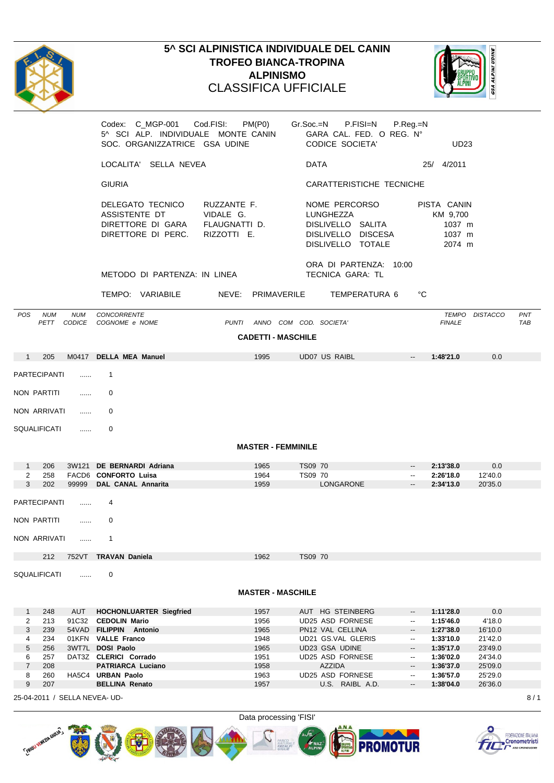

**TERIU** 

## **5^ SCI ALPINISTICA INDIVIDUALE DEL CANIN<br>
TROFEO BIANCA-TROPINA<br>
ALPINISMO<br>
CLASSIFICA UFFICIALE TROFEO BIANCA-TROPINA AND SUMPLIFICATION OF A SUMPLIFICATION OF A SUMPLIFICATION OF A SUMPLIFICATION OF A SUMPLIFICATION OF A SUMPLIFICATION OF A SUMPLIFICATION OF A SUMPLIFICATION OF A SUMPLIFICATION OF A SUMPLIFICATION ALPINISMO Example 2 SPACE 2 1 <b>FOR ALPINISMO** CLASSIFICA UFFICIALE **And the CLASSIFICA**



|                                                    | Codex: C_MGP-001 Cod.FISI: PM(P0)<br>5^ SCI ALP. INDIVIDUALE MONTE CANIN |                              | Gr.Soc.=N P.FISI=N P.Reg.=N<br>GARA CAL. FED. O REG. Nº |                                                |                          |
|----------------------------------------------------|--------------------------------------------------------------------------|------------------------------|---------------------------------------------------------|------------------------------------------------|--------------------------|
|                                                    | SOC. ORGANIZZATRICE GSA UDINE                                            |                              | CODICE SOCIETA'                                         |                                                | <b>UD23</b>              |
|                                                    | LOCALITA' SELLA NEVEA                                                    |                              | <b>DATA</b>                                             | 25/ 4/2011                                     |                          |
|                                                    | <b>GIURIA</b>                                                            |                              | CARATTERISTICHE TECNICHE                                |                                                |                          |
|                                                    | DELEGATO TECNICO                                                         | RUZZANTE F.                  | NOME PERCORSO                                           | PISTA CANIN                                    |                          |
|                                                    | ASSISTENTE DT                                                            | VIDALE G.                    | LUNGHEZZA                                               | KM 9,700                                       |                          |
|                                                    | DIRETTORE DI GARA                                                        | FLAUGNATTI D.                | DISLIVELLO SALITA                                       | 1037 m                                         |                          |
|                                                    | DIRETTORE DI PERC. RIZZOTTI E.                                           |                              | DISLIVELLO DISCESA<br>DISLIVELLO TOTALE                 | 1037 m<br>2074 m                               |                          |
|                                                    | METODO DI PARTENZA: IN LINEA                                             |                              | ORA DI PARTENZA: 10:00<br>TECNICA GARA: TL              |                                                |                          |
|                                                    | TEMPO: VARIABILE                                                         | NEVE: PRIMAVERILE            | TEMPERATURA 6 °C                                        |                                                |                          |
| POS NUM NUM CONCORRENTE                            |                                                                          |                              |                                                         | TEMPO DISTACCO PNT                             |                          |
|                                                    | PETT CODICE COGNOME e NOME                                               | PUNTI ANNO COM COD. SOCIETA' |                                                         | <b>FINALE</b>                                  | <b>TAB</b>               |
|                                                    |                                                                          | <b>CADETTI - MASCHILE</b>    |                                                         |                                                |                          |
| 1 205 M0417 DELLA MEA Manuel                       |                                                                          |                              | 1995 UD07 US RAIBL                                      | $-$ 1:48'21.0 0.0                              |                          |
| PARTECIPANTI  1                                    |                                                                          |                              |                                                         |                                                |                          |
|                                                    |                                                                          |                              |                                                         |                                                |                          |
| NON PARTITI  0                                     |                                                                          |                              |                                                         |                                                |                          |
| NON ARRIVATI  0                                    |                                                                          |                              |                                                         |                                                |                          |
| SQUALIFICATI  0                                    |                                                                          |                              |                                                         |                                                |                          |
|                                                    |                                                                          | <b>MASTER - FEMMINILE</b>    |                                                         |                                                |                          |
|                                                    | 1 206 3W121 DE BERNARDI Adriana                                          | 1965                         | TS09 70                                                 | $-2:13'38.0$                                   | 0.0                      |
| 2 258 FACD6 CONFORTO Luisa                         |                                                                          | 1964                         | TS09 70                                                 | $-2:26'18.0$ $12'40.0$                         |                          |
|                                                    | 3 202 99999 DAL CANAL Annarita                                           | 1959                         | LONGARONE                                               | $-2:34'13.0$ 20'35.0                           | <b>Contract Contract</b> |
| PARTECIPANTI  4                                    |                                                                          |                              |                                                         |                                                |                          |
| NON PARTITI  0                                     |                                                                          |                              |                                                         |                                                |                          |
| NON ARRIVATI  1                                    |                                                                          |                              |                                                         |                                                |                          |
|                                                    |                                                                          |                              |                                                         |                                                |                          |
| 212 752VT TRAVAN Daniela                           |                                                                          |                              | 1962 TS09 70                                            |                                                |                          |
| SQUALIFICATI  0                                    |                                                                          |                              |                                                         |                                                |                          |
|                                                    |                                                                          | <b>MASTER - MASCHILE</b>     |                                                         |                                                |                          |
|                                                    | 1 248 AUT HOCHONLUARTER Siegfried                                        | 1957                         | AUT HG STEINBERG                                        | $-$ 1:11'28.0 0.0                              |                          |
| 2 213 91C32 CEDOLIN Mario                          |                                                                          | 1956                         | UD25 ASD FORNESE                                        | $- 1:15'46.0$ 4'18.0                           |                          |
| 3 239 54VAD FILIPPIN Antonio                       |                                                                          | 1965                         | PN12 VAL CELLINA                                        | $-$ 1:27'38.0 16'10.0                          | <b>Service State</b>     |
| 4 234 01KFN VALLE Franco<br>5 256 3WT7L DOSI Paolo |                                                                          | 1948<br>1965                 | UD21 GS.VAL GLERIS<br>UD23 GSA UDINE                    | $- 1:33'10.0$ 21'42.0<br>$-$ 1:35'17.0 23'49.0 | <b>Contract Contract</b> |
| 6 257 DAT3Z CLERICI Corrado                        |                                                                          | 1951                         | UD25 ASD FORNESE                                        | $-$ 1:36'02.0 24'34.0                          |                          |
| 7 208                                              | PATRIARCA Luciano                                                        | 1958                         | <b>AZZIDA</b>                                           | $-$ 1:36'37.0 25'09.0                          | <b>Contract Contract</b> |
| 8 260 HA5C4 URBAN Paolo                            |                                                                          | 1963                         | UD25 ASD FORNESE                                        | $- 1:36'57.0$ 25'29.0                          |                          |
| 9 207<br>25-04-2011 / SELLA NEVEA- UD-             | <b>BELLINA Renato</b>                                                    | 1957                         | U.S. RAIBL A.D. - 1:38'04.0 26'36.0                     |                                                | 8/1                      |
|                                                    |                                                                          |                              |                                                         |                                                |                          |
|                                                    |                                                                          | Data processing 'FISI'       |                                                         |                                                |                          |

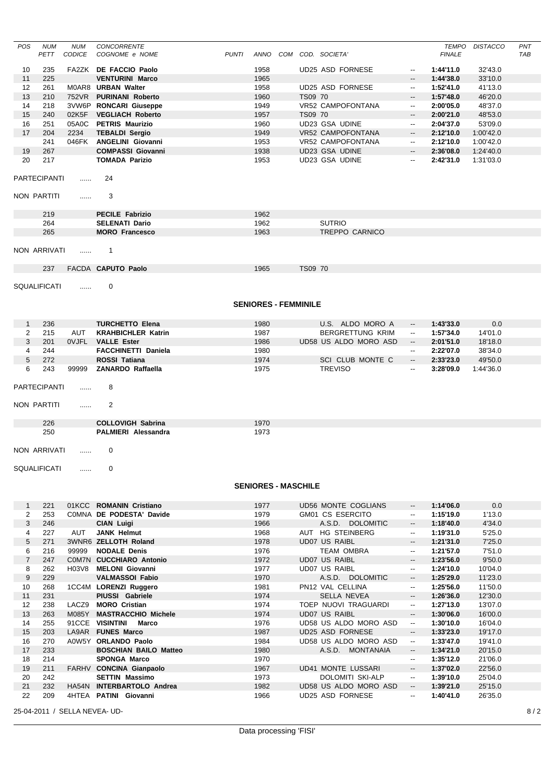| POS NUM NUM CONCORRENTE                                          |                                                           | TEMPO DISTACCO PNT                               |
|------------------------------------------------------------------|-----------------------------------------------------------|--------------------------------------------------|
| PETT CODICE COGNOME e NOME                                       | PUNTI ANNO COM COD. SOCIETA'                              | <b>TAB</b><br><b>FINALE</b>                      |
| 10 235 FA2ZK DE FACCIO Paolo                                     | UD25 ASD FORNESE                                          |                                                  |
|                                                                  | 1958                                                      | $-$ 1:44'11.0 32'43.0                            |
| 11 225<br><b>VENTURINI Marco</b>                                 | 1965<br>UD25 ASD FORNESE                                  | 33'10.0<br>$-1:44'38.0$<br>$-$ 1:52'41.0 41'13.0 |
| 12 261 MOAR8 URBAN Walter<br>13 210 752VR PURINANI Roberto       | 1958<br>TS09 70                                           | $-1.57'48.0$<br>46'20.0                          |
| 14 218 3VW6P RONCARI Giuseppe                                    | 1960<br>1949<br>VR52 CAMPOFONTANA                         | $-2:00'05.0$ 48'37.0                             |
| 15 240 02K5F VEGLIACH Roberto                                    | 1957<br>TS09 70                                           | $-2:00'21.0$ 48'53.0                             |
| 16 251 05A0C PETRIS Maurizio                                     | 1960<br>UD23 GSA UDINE                                    | $-2:04'37.0$ 53'09.0                             |
| 17  204  2234<br><b>TEBALDI Sergio</b>                           | VR52 CAMPOFONTANA<br>1949                                 | $-2:12'10.0$ $1:00'42.0$                         |
| 241 046FK ANGELINI Giovanni                                      | VR52 CAMPOFONTANA<br>1953                                 | $-2:12'10.0$ 1:00'42.0                           |
| 19 267<br><b>COMPASSI Giovanni</b>                               | 1938<br>UD23 GSA UDINE                                    | $-2:36'08.0$ 1:24'40.0                           |
| 20 217<br><b>TOMADA Parizio</b>                                  | 1953<br>UD23 GSA UDINE                                    | $-2:42'31.0$ 1:31'03.0                           |
|                                                                  |                                                           |                                                  |
| PARTECIPANTI  24                                                 |                                                           |                                                  |
|                                                                  |                                                           |                                                  |
| NON PARTITI<br>$\ldots$ 3                                        |                                                           |                                                  |
|                                                                  |                                                           |                                                  |
| <b>PECILE Fabrizio</b><br>219                                    | 1962                                                      |                                                  |
| <b>SELENATI Dario</b><br>264                                     | <b>SUTRIO</b><br>1962                                     |                                                  |
| 265<br><b>MORO Francesco</b>                                     | TREPPO CARNICO<br>1963                                    |                                                  |
|                                                                  |                                                           |                                                  |
| NON ARRIVATI  1                                                  |                                                           |                                                  |
|                                                                  |                                                           |                                                  |
| 237 FACDA CAPUTO Paolo                                           | 1965 TS09 70                                              |                                                  |
|                                                                  |                                                           |                                                  |
| SQUALIFICATI  0                                                  |                                                           |                                                  |
|                                                                  |                                                           |                                                  |
|                                                                  | <b>SENIORES - FEMMINILE</b>                               |                                                  |
|                                                                  |                                                           |                                                  |
| <b>TURCHETTO Elena</b><br>1 236                                  | U.S. ALDO MORO A<br>1980                                  | $-1:43'33.0$<br>0.0                              |
| 2   215   AUT<br><b>KRAHBICHLER Katrin</b>                       | BERGRETTUNG KRIM<br>1987                                  | 1:57'34.0 14'01.0<br>$\sim$ $-$                  |
| 3 201 OVJFL VALLE Ester                                          | 1986                                                      | UD58 US ALDO MORO ASD -- 2:01'51.0 18'18.0       |
| 4 244<br>FACCHINETTI Daniela                                     | 1980                                                      | $-2:22'07.0$ 38'34.0                             |
| 5 272<br>ROSSI Tatiana                                           | 1974                                                      | SCI CLUB MONTE C -- 2:33'23.0 49'50.0            |
| 6 243 99999 ZANARDO Raffaella                                    | 1975<br><b>TREVISO</b>                                    | $-3:28'09.0$ 1:44'36.0                           |
|                                                                  |                                                           |                                                  |
| PARTECIPANTI                                                     |                                                           |                                                  |
|                                                                  |                                                           |                                                  |
| NON PARTITI<br>$\ldots$ 2                                        |                                                           |                                                  |
|                                                                  |                                                           |                                                  |
| <b>COLLOVIGH Sabrina</b><br>226                                  | 1970                                                      |                                                  |
| 250<br>PALMIERI Alessandra                                       | 1973                                                      |                                                  |
|                                                                  |                                                           |                                                  |
| NON ARRIVATI  0                                                  |                                                           |                                                  |
|                                                                  |                                                           |                                                  |
| SQUALIFICATI  0                                                  |                                                           |                                                  |
|                                                                  |                                                           |                                                  |
|                                                                  | <b>SENIORES - MASCHILE</b>                                |                                                  |
|                                                                  |                                                           |                                                  |
| 1 221 01KCC ROMANIN Cristiano                                    | UD56 MONTE COGLIANS<br>1977                               | 1:14'06.0<br>0.0<br>$\sim$ 100 $\sim$            |
| 2 253 COMNA DE PODESTA' Davide                                   | 1979<br>GM01 CS ESERCITO                                  | $-1:15'19.0$<br>1'13.0                           |
| $3 \qquad 246$<br><b>CIAN Luigi</b>                              | A.S.D. DOLOMITIC<br>1966                                  | $-1:18'40.0$<br>4'34.0                           |
| 4 227 AUT JANK Helmut                                            | AUT HG STEINBERG<br>1968                                  | 5'25.0<br>$-1:19'31.0$                           |
| 5 271 3WNR6 ZELLOTH Roland                                       | 1978<br><b>UD07 US RAIBL</b>                              | 7'25.0<br>$-1:21'31.0$                           |
| 6 216 99999 NODALE Denis                                         | <b>TEAM OMBRA</b><br>1976                                 | 7'51.0<br>$-1:21'57.0$                           |
| 7 247 COM7N CUCCHIARO Antonio                                    | 1972<br><b>UD07 US RAIBL</b>                              | 9'50.0<br>$-1:23'56.0$                           |
| 8 262 H03V8 MELONI Giovanni                                      | <b>UD07 US RAIBL</b><br>1977                              | $- 1:24'10.0$ 10'04.0                            |
| <b>VALMASSOI Fabio</b><br>9 229                                  | A.S.D. DOLOMITIC<br>1970                                  | $- 1:25'29.0$ 11'23.0                            |
| 10 268 1CC4M LORENZI Ruggero                                     | 1981<br>PN12 VAL CELLINA                                  | 1:25'56.0 11'50.0<br>$\sim$ $\sim$               |
| PIUSSI Gabriele<br>11 231                                        | SELLA NEVEA<br>1974                                       | $-$ 1:26'36.0 12'30.0                            |
| 12 238 LACZ9 MORO Cristian                                       | TOEP NUOVI TRAGUARDI<br>1974                              | 1:27'13.0 13'07.0<br>$- -$                       |
| 13 263 M085Y MASTRACCHIO Michele                                 | <b>UD07 US RAIBL</b><br>1974                              | 16'00.0<br>$-1:30'06.0$                          |
| 14 255 91CCE VISINTINI Marco                                     | 1976<br>UD58 US ALDO MORO ASD                             | 1:30'10.0 16'04.0                                |
| 15 203 LA9AR FUNES Marco                                         | 1987<br>UD25 ASD FORNESE                                  | 1:33'23.0 19'17.0                                |
| 16 270 A0W5Y ORLANDO Paolo                                       | UD58 US ALDO MORO ASD<br>1984                             | 1:33'47.0 19'41.0                                |
|                                                                  |                                                           |                                                  |
| <b>BOSCHIAN BAILO Matteo</b><br>17 233                           | A.S.D. MONTANAIA<br>1980                                  | 1:34'21.0 20'15.0<br>$\sim$ 100 $\pm$ 100 $\pm$  |
| 18 214<br><b>SPONGA Marco</b>                                    | 1970                                                      | $- 1:35'12.0$ 21'06.0                            |
| 19 211 FARHV CONCINA Gianpaolo                                   | 1967<br>UD41 MONTE LUSSARI                                | 1:37'02.0 22'56.0<br>$\sim$ $-$                  |
| 20 242<br><b>SETTIN Massimo</b>                                  | 1973<br>DOLOMITI SKI-ALP                                  | 1:39'10.0 25'04.0<br>$\sim$ $-$                  |
| 21 232 HA54N INTERBARTOLO Andrea<br>22 209 4HTEA PATINI Giovanni | UD58 US ALDO MORO ASD<br>1982<br>UD25 ASD FORNESE<br>1966 | $-$ 1:39'21.0 25'15.0<br>$- 1:40'41.0$ 26'35.0   |

25-04-2011 / SELLA NEVEA- UD- 8 / 2